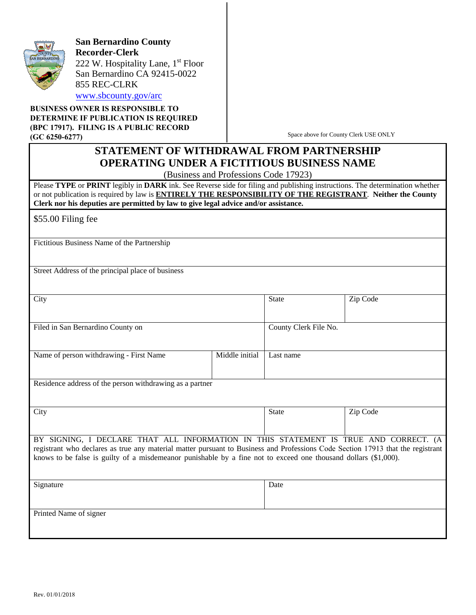

**San Bernardino County Recorder-Clerk**  222 W. Hospitality Lane,  $1<sup>st</sup>$  Floor San Bernardino CA 92415-0022 855 REC-CLRK www.sbcounty.gov/arc

**BUSINESS OWNER IS RESPONSIBLE TO DETERMINE IF PUBLICATION IS REQUIRED (BPC 17917). FILING IS A PUBLIC RECORD (GC 6250-6277)**

Space above for County Clerk USE ONLY

## **STATEMENT OF WITHDRAWAL FROM PARTNERSHIP OPERATING UNDER A FICTITIOUS BUSINESS NAME**

(Business and Professions Code 17923)

Please **TYPE** or **PRINT** legibly in **DARK** ink. See Reverse side for filing and publishing instructions. The determination whether or not publication is required by law is **ENTIRELY THE RESPONSIBILITY OF THE REGISTRANT**. **Neither the County Clerk nor his deputies are permitted by law to give legal advice and/or assistance.**

\$55.00 Filing fee

Fictitious Business Name of the Partnership

Street Address of the principal place of business

| City                                    |                       | State     | Zip Code |
|-----------------------------------------|-----------------------|-----------|----------|
|                                         |                       |           |          |
|                                         |                       |           |          |
|                                         |                       |           |          |
|                                         |                       |           |          |
| Filed in San Bernardino County on       | County Clerk File No. |           |          |
|                                         |                       |           |          |
|                                         |                       |           |          |
|                                         |                       |           |          |
|                                         |                       |           |          |
|                                         | Middle initial        | Last name |          |
| Name of person withdrawing - First Name |                       |           |          |
|                                         |                       |           |          |
|                                         |                       |           |          |
|                                         |                       |           |          |
|                                         |                       |           |          |

Residence address of the person withdrawing as a partner

| City |  |  |                                                                                      |  | <b>State</b> | Zip Code |  |  |
|------|--|--|--------------------------------------------------------------------------------------|--|--------------|----------|--|--|
|      |  |  |                                                                                      |  |              |          |  |  |
|      |  |  |                                                                                      |  |              |          |  |  |
|      |  |  |                                                                                      |  |              |          |  |  |
|      |  |  |                                                                                      |  |              |          |  |  |
|      |  |  | BY SIGNING, I DECLARE THAT ALL INFORMATION IN THIS STATEMENT IS TRUE AND CORRECT. (A |  |              |          |  |  |

registrant who declares as true any material matter pursuant to Business and Professions Code Section 17913 that the registrant knows to be false is guilty of a misdemeanor punishable by a fine not to exceed one thousand dollars (\$1,000).

| Signature              | Date |
|------------------------|------|
|                        |      |
|                        |      |
| Printed Name of signer |      |